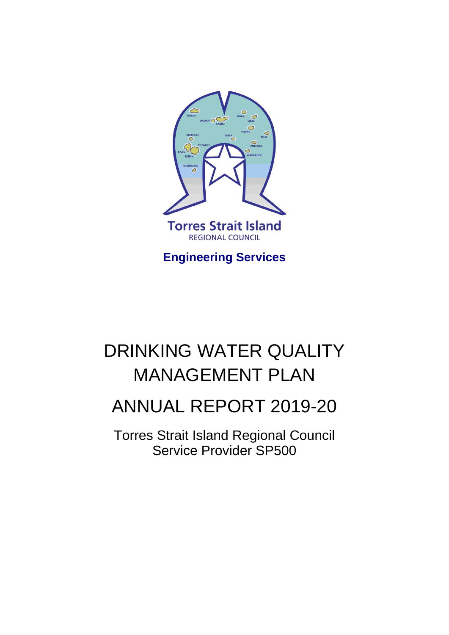

**Engineering Services**

# DRINKING WATER QUALITY MANAGEMENT PLAN

# ANNUAL REPORT 2019-20

Torres Strait Island Regional Council Service Provider SP500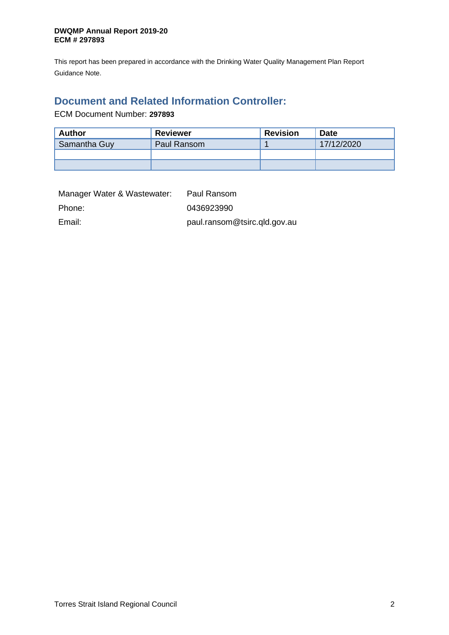This report has been prepared in accordance with the Drinking Water Quality Management Plan Report Guidance Note.

## <span id="page-1-0"></span>**Document and Related Information Controller:**

ECM Document Number: **297893**

| Author                      | <b>Reviewer</b> | <b>Revision</b> | <b>Date</b> |
|-----------------------------|-----------------|-----------------|-------------|
| Samantha Guy<br>Paul Ransom |                 |                 | 17/12/2020  |
|                             |                 |                 |             |
|                             |                 |                 |             |

| Manager Water & Wastewater: | Paul Ransom                  |
|-----------------------------|------------------------------|
| Phone:                      | 0436923990                   |
| Email:                      | paul.ransom@tsirc.qld.gov.au |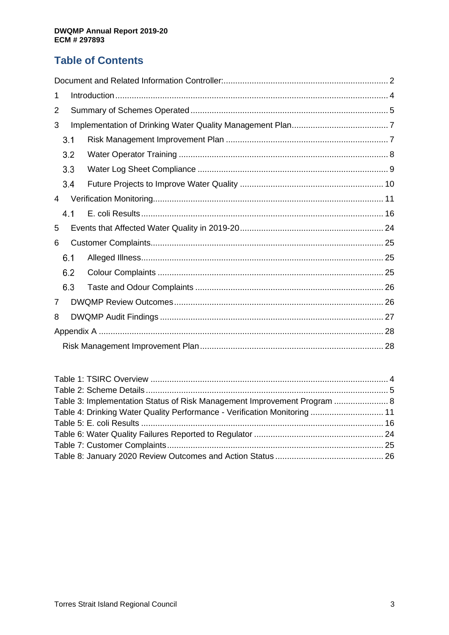# **Table of Contents**

| 1 |     |  |  |  |  |  |
|---|-----|--|--|--|--|--|
| 2 |     |  |  |  |  |  |
| 3 |     |  |  |  |  |  |
|   | 3.1 |  |  |  |  |  |
|   | 3.2 |  |  |  |  |  |
|   | 3.3 |  |  |  |  |  |
|   | 3.4 |  |  |  |  |  |
| 4 |     |  |  |  |  |  |
|   | 4.1 |  |  |  |  |  |
| 5 |     |  |  |  |  |  |
| 6 |     |  |  |  |  |  |
|   | 6.1 |  |  |  |  |  |
|   | 6.2 |  |  |  |  |  |
|   | 6.3 |  |  |  |  |  |
| 7 |     |  |  |  |  |  |
| 8 |     |  |  |  |  |  |
|   |     |  |  |  |  |  |
|   |     |  |  |  |  |  |

| Table 3: Implementation Status of Risk Management Improvement Program  8  |  |
|---------------------------------------------------------------------------|--|
| Table 4: Drinking Water Quality Performance - Verification Monitoring  11 |  |
|                                                                           |  |
|                                                                           |  |
|                                                                           |  |
|                                                                           |  |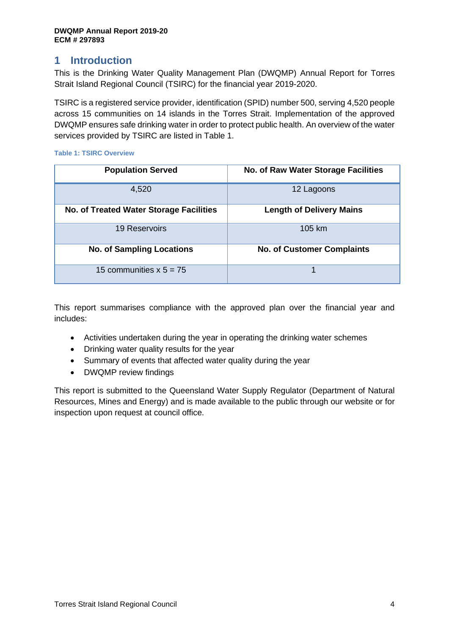## <span id="page-3-0"></span>**1 Introduction**

This is the Drinking Water Quality Management Plan (DWQMP) Annual Report for Torres Strait Island Regional Council (TSIRC) for the financial year 2019-2020.

TSIRC is a registered service provider, identification (SPID) number 500, serving 4,520 people across 15 communities on 14 islands in the Torres Strait. Implementation of the approved DWQMP ensures safe drinking water in order to protect public health. An overview of the water services provided by TSIRC are listed in Table 1.

| <b>Population Served</b>                       | <b>No. of Raw Water Storage Facilities</b> |
|------------------------------------------------|--------------------------------------------|
| 4,520                                          | 12 Lagoons                                 |
| <b>No. of Treated Water Storage Facilities</b> | <b>Length of Delivery Mains</b>            |
| <b>19 Reservoirs</b>                           | 105 km                                     |
| <b>No. of Sampling Locations</b>               | <b>No. of Customer Complaints</b>          |
| 15 communities $x 5 = 75$                      |                                            |

## <span id="page-3-1"></span>**Table 1: TSIRC Overview**

This report summarises compliance with the approved plan over the financial year and includes:

- Activities undertaken during the year in operating the drinking water schemes
- Drinking water quality results for the year
- Summary of events that affected water quality during the year
- DWQMP review findings

This report is submitted to the Queensland Water Supply Regulator (Department of Natural Resources, Mines and Energy) and is made available to the public through our website or for inspection upon request at council office.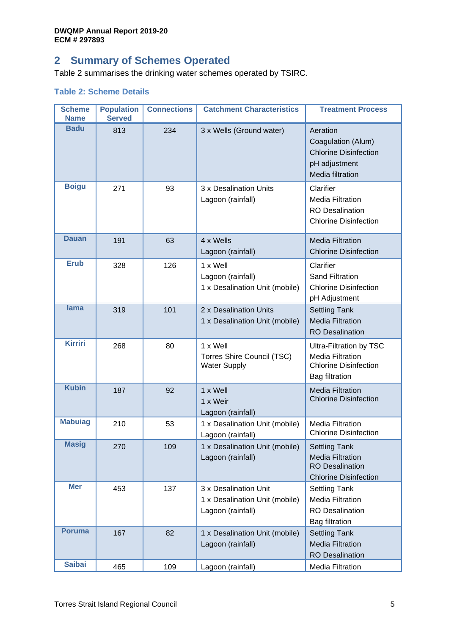# <span id="page-4-0"></span>**2 Summary of Schemes Operated**

[Table 2](#page-4-1) summarises the drinking water schemes operated by TSIRC.

## <span id="page-4-1"></span>**Table 2: Scheme Details**

| <b>Scheme</b><br><b>Name</b> | <b>Population</b><br><b>Served</b> | <b>Connections</b> | <b>Catchment Characteristics</b>                                             | <b>Treatment Process</b>                                                                                    |
|------------------------------|------------------------------------|--------------------|------------------------------------------------------------------------------|-------------------------------------------------------------------------------------------------------------|
| <b>Badu</b>                  | 813                                | 234                | 3 x Wells (Ground water)                                                     | Aeration<br>Coagulation (Alum)<br><b>Chlorine Disinfection</b><br>pH adjustment<br>Media filtration         |
| <b>Boigu</b>                 | 271                                | 93                 | 3 x Desalination Units<br>Lagoon (rainfall)                                  | Clarifier<br><b>Media Filtration</b><br><b>RO</b> Desalination<br><b>Chlorine Disinfection</b>              |
| <b>Dauan</b>                 | 191                                | 63                 | 4 x Wells<br>Lagoon (rainfall)                                               | <b>Media Filtration</b><br><b>Chlorine Disinfection</b>                                                     |
| <b>Erub</b>                  | 328                                | 126                | 1 x Well<br>Lagoon (rainfall)<br>1 x Desalination Unit (mobile)              | Clarifier<br><b>Sand Filtration</b><br><b>Chlorine Disinfection</b><br>pH Adjustment                        |
| <b>lama</b>                  | 319                                | 101                | 2 x Desalination Units<br>1 x Desalination Unit (mobile)                     | <b>Settling Tank</b><br><b>Media Filtration</b><br><b>RO</b> Desalination                                   |
| <b>Kirriri</b>               | 268                                | 80                 | 1 x Well<br>Torres Shire Council (TSC)<br><b>Water Supply</b>                | Ultra-Filtration by TSC<br><b>Media Filtration</b><br><b>Chlorine Disinfection</b><br><b>Bag filtration</b> |
| <b>Kubin</b>                 | 187                                | 92                 | 1 x Well<br>1 x Weir<br>Lagoon (rainfall)                                    | <b>Media Filtration</b><br><b>Chlorine Disinfection</b>                                                     |
| <b>Mabuiag</b>               | 210                                | 53                 | 1 x Desalination Unit (mobile)<br>Lagoon (rainfall)                          | <b>Media Filtration</b><br><b>Chlorine Disinfection</b>                                                     |
| <b>Masig</b>                 | 270                                | 109                | 1 x Desalination Unit (mobile)<br>Lagoon (rainfall)                          | <b>Settling Tank</b><br><b>Media Filtration</b><br><b>RO</b> Desalination<br><b>Chlorine Disinfection</b>   |
| <b>Mer</b>                   | 453                                | 137                | 3 x Desalination Unit<br>1 x Desalination Unit (mobile)<br>Lagoon (rainfall) | <b>Settling Tank</b><br><b>Media Filtration</b><br><b>RO</b> Desalination<br><b>Bag filtration</b>          |
| <b>Poruma</b>                | 167                                | 82                 | 1 x Desalination Unit (mobile)<br>Lagoon (rainfall)                          | <b>Settling Tank</b><br><b>Media Filtration</b><br><b>RO</b> Desalination                                   |
| <b>Saibai</b>                | 465                                | 109                | Lagoon (rainfall)                                                            | <b>Media Filtration</b>                                                                                     |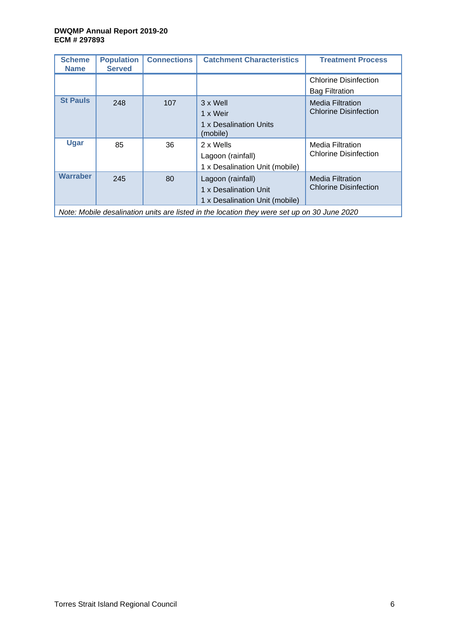| <b>Scheme</b><br><b>Name</b>                                                                | <b>Population</b><br><b>Served</b> | <b>Connections</b> | <b>Catchment Characteristics</b>                                             | <b>Treatment Process</b>                                |  |  |
|---------------------------------------------------------------------------------------------|------------------------------------|--------------------|------------------------------------------------------------------------------|---------------------------------------------------------|--|--|
|                                                                                             |                                    |                    |                                                                              | <b>Chlorine Disinfection</b><br><b>Bag Filtration</b>   |  |  |
| <b>St Pauls</b>                                                                             | 248                                | 107                | 3 x Well<br>1 x Weir<br>1 x Desalination Units<br>(mobile)                   | <b>Media Filtration</b><br><b>Chlorine Disinfection</b> |  |  |
| <b>Ugar</b>                                                                                 | 85                                 | 36                 | 2 x Wells<br>Lagoon (rainfall)<br>1 x Desalination Unit (mobile)             | <b>Media Filtration</b><br><b>Chlorine Disinfection</b> |  |  |
| <b>Warraber</b>                                                                             | 245                                | 80                 | Lagoon (rainfall)<br>1 x Desalination Unit<br>1 x Desalination Unit (mobile) | <b>Media Filtration</b><br><b>Chlorine Disinfection</b> |  |  |
| Note: Mobile desalination units are listed in the location they were set up on 30 June 2020 |                                    |                    |                                                                              |                                                         |  |  |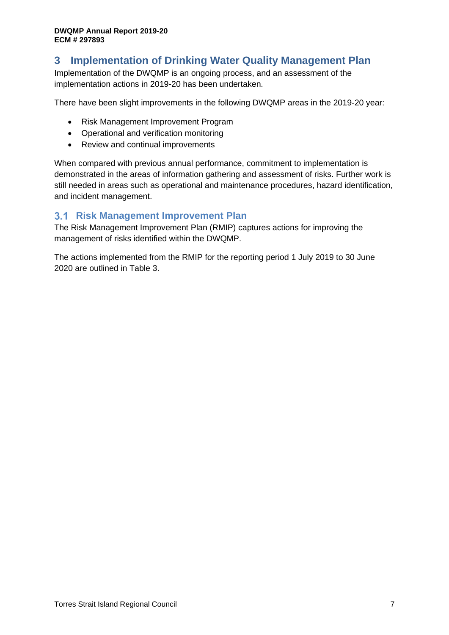# <span id="page-6-0"></span>**3 Implementation of Drinking Water Quality Management Plan**

Implementation of the DWQMP is an ongoing process, and an assessment of the implementation actions in 2019-20 has been undertaken.

There have been slight improvements in the following DWQMP areas in the 2019-20 year:

- Risk Management Improvement Program
- Operational and verification monitoring
- Review and continual improvements

When compared with previous annual performance, commitment to implementation is demonstrated in the areas of information gathering and assessment of risks. Further work is still needed in areas such as operational and maintenance procedures, hazard identification, and incident management.

## <span id="page-6-1"></span>**3.1 Risk Management Improvement Plan**

The Risk Management Improvement Plan (RMIP) captures actions for improving the management of risks identified within the DWQMP.

The actions implemented from the RMIP for the reporting period 1 July 2019 to 30 June 2020 are outlined in Table 3.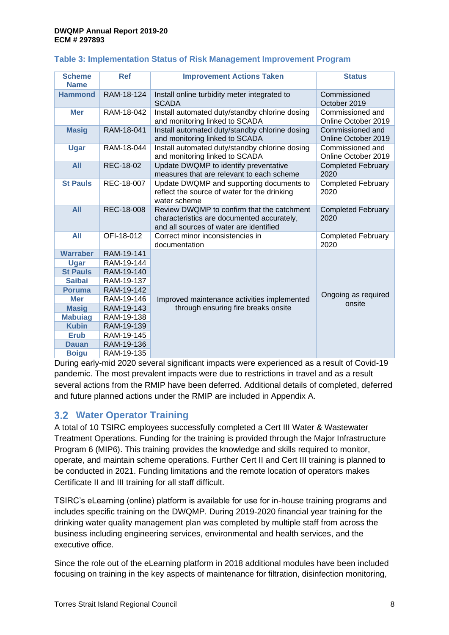| <b>Scheme</b><br><b>Name</b> | <b>Ref</b> | <b>Improvement Actions Taken</b>                                                                                                    | <b>Status</b>                           |
|------------------------------|------------|-------------------------------------------------------------------------------------------------------------------------------------|-----------------------------------------|
| <b>Hammond</b>               | RAM-18-124 | Install online turbidity meter integrated to<br><b>SCADA</b>                                                                        | Commissioned<br>October 2019            |
| <b>Mer</b>                   | RAM-18-042 | Install automated duty/standby chlorine dosing<br>and monitoring linked to SCADA                                                    | Commissioned and<br>Online October 2019 |
| <b>Masig</b>                 | RAM-18-041 | Install automated duty/standby chlorine dosing<br>and monitoring linked to SCADA                                                    | Commissioned and<br>Online October 2019 |
| Ugar                         | RAM-18-044 | Install automated duty/standby chlorine dosing<br>and monitoring linked to SCADA                                                    | Commissioned and<br>Online October 2019 |
| <b>All</b>                   | REC-18-02  | Update DWQMP to identify preventative<br>measures that are relevant to each scheme                                                  | <b>Completed February</b><br>2020       |
| <b>St Pauls</b>              | REC-18-007 | Update DWQMP and supporting documents to<br>reflect the source of water for the drinking<br>water scheme                            | <b>Completed February</b><br>2020       |
| <b>All</b>                   | REC-18-008 | Review DWQMP to confirm that the catchment<br>characteristics are documented accurately,<br>and all sources of water are identified | <b>Completed February</b><br>2020       |
| <b>All</b>                   | OFI-18-012 | Correct minor inconsistencies in<br>documentation                                                                                   | <b>Completed February</b><br>2020       |
| <b>Warraber</b>              | RAM-19-141 |                                                                                                                                     |                                         |
| Ugar                         | RAM-19-144 |                                                                                                                                     |                                         |
| <b>St Pauls</b>              | RAM-19-140 |                                                                                                                                     |                                         |
| <b>Saibai</b>                | RAM-19-137 |                                                                                                                                     |                                         |
| <b>Poruma</b>                | RAM-19-142 |                                                                                                                                     | Ongoing as required                     |
| <b>Mer</b>                   | RAM-19-146 | Improved maintenance activities implemented                                                                                         | onsite                                  |
| <b>Masig</b>                 | RAM-19-143 | through ensuring fire breaks onsite                                                                                                 |                                         |
| <b>Mabuiag</b>               | RAM-19-138 |                                                                                                                                     |                                         |
| <b>Kubin</b>                 | RAM-19-139 |                                                                                                                                     |                                         |
| <b>Erub</b>                  | RAM-19-145 |                                                                                                                                     |                                         |
| <b>Dauan</b>                 | RAM-19-136 |                                                                                                                                     |                                         |
| <b>Boigu</b>                 | RAM-19-135 |                                                                                                                                     |                                         |

## <span id="page-7-1"></span>**Table 3: Implementation Status of Risk Management Improvement Program**

During early-mid 2020 several significant impacts were experienced as a result of Covid-19 pandemic. The most prevalent impacts were due to restrictions in travel and as a result several actions from the RMIP have been deferred. Additional details of completed, deferred and future planned actions under the RMIP are included in Appendix A.

## <span id="page-7-0"></span>**Water Operator Training**

A total of 10 TSIRC employees successfully completed a Cert III Water & Wastewater Treatment Operations. Funding for the training is provided through the Major Infrastructure Program 6 (MIP6). This training provides the knowledge and skills required to monitor, operate, and maintain scheme operations. Further Cert II and Cert III training is planned to be conducted in 2021. Funding limitations and the remote location of operators makes Certificate II and III training for all staff difficult.

TSIRC's eLearning (online) platform is available for use for in-house training programs and includes specific training on the DWQMP. During 2019-2020 financial year training for the drinking water quality management plan was completed by multiple staff from across the business including engineering services, environmental and health services, and the executive office.

Since the role out of the eLearning platform in 2018 additional modules have been included focusing on training in the key aspects of maintenance for filtration, disinfection monitoring,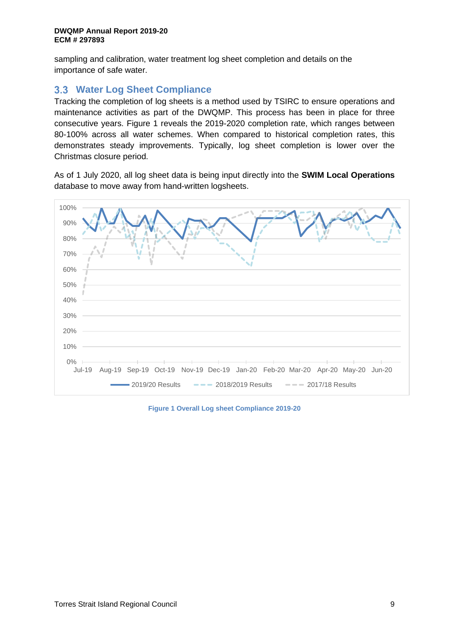sampling and calibration, water treatment log sheet completion and details on the importance of safe water.

## <span id="page-8-0"></span>**Water Log Sheet Compliance**

Tracking the completion of log sheets is a method used by TSIRC to ensure operations and maintenance activities as part of the DWQMP. This process has been in place for three consecutive years. Figure 1 reveals the 2019-2020 completion rate, which ranges between 80-100% across all water schemes. When compared to historical completion rates, this demonstrates steady improvements. Typically, log sheet completion is lower over the Christmas closure period.

As of 1 July 2020, all log sheet data is being input directly into the **SWIM Local Operations** database to move away from hand-written logsheets.



**Figure 1 Overall Log sheet Compliance 2019-20**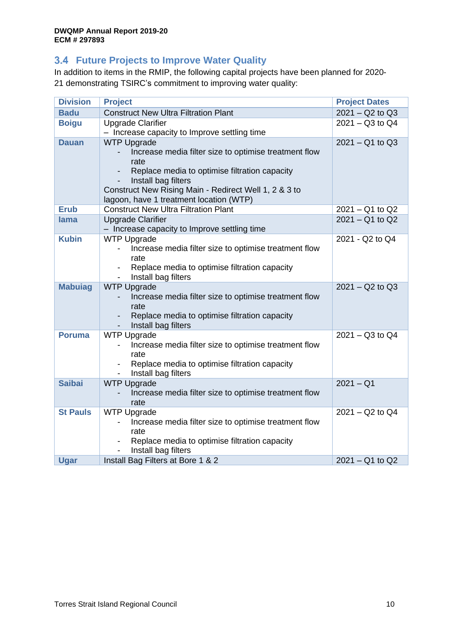## <span id="page-9-0"></span>**Future Projects to Improve Water Quality**

In addition to items in the RMIP, the following capital projects have been planned for 2020- 21 demonstrating TSIRC's commitment to improving water quality:

| <b>Division</b> | <b>Project</b>                                                                                                                                                                                                                                                  | <b>Project Dates</b> |
|-----------------|-----------------------------------------------------------------------------------------------------------------------------------------------------------------------------------------------------------------------------------------------------------------|----------------------|
| <b>Badu</b>     | <b>Construct New Ultra Filtration Plant</b>                                                                                                                                                                                                                     | $2021 - Q2$ to $Q3$  |
| <b>Boigu</b>    | <b>Upgrade Clarifier</b>                                                                                                                                                                                                                                        | $2021 - Q3$ to $Q4$  |
|                 | - Increase capacity to Improve settling time                                                                                                                                                                                                                    |                      |
| <b>Dauan</b>    | <b>WTP Upgrade</b><br>Increase media filter size to optimise treatment flow<br>rate<br>Replace media to optimise filtration capacity<br>Install bag filters<br>Construct New Rising Main - Redirect Well 1, 2 & 3 to<br>lagoon, have 1 treatment location (WTP) | $2021 - Q1$ to $Q3$  |
| <b>Erub</b>     | <b>Construct New Ultra Filtration Plant</b>                                                                                                                                                                                                                     | $2021 - Q1$ to Q2    |
| lama            | <b>Upgrade Clarifier</b><br>- Increase capacity to Improve settling time                                                                                                                                                                                        | $2021 - Q1$ to $Q2$  |
| <b>Kubin</b>    | <b>WTP Upgrade</b><br>Increase media filter size to optimise treatment flow<br>rate<br>Replace media to optimise filtration capacity<br>Install bag filters                                                                                                     | 2021 - Q2 to Q4      |
| <b>Mabuiag</b>  | <b>WTP Upgrade</b><br>Increase media filter size to optimise treatment flow<br>rate<br>Replace media to optimise filtration capacity<br>Install bag filters                                                                                                     | $2021 - Q2$ to $Q3$  |
| <b>Poruma</b>   | <b>WTP Upgrade</b><br>Increase media filter size to optimise treatment flow<br>rate<br>Replace media to optimise filtration capacity<br>$\overline{\phantom{a}}$<br>Install bag filters                                                                         | $2021 - Q3$ to $Q4$  |
| <b>Saibai</b>   | <b>WTP Upgrade</b><br>Increase media filter size to optimise treatment flow<br>rate                                                                                                                                                                             | $2021 - Q1$          |
| <b>St Pauls</b> | <b>WTP Upgrade</b><br>Increase media filter size to optimise treatment flow<br>rate<br>Replace media to optimise filtration capacity<br>Install bag filters                                                                                                     | $2021 - Q2$ to $Q4$  |
| Ugar            | Install Bag Filters at Bore 1 & 2                                                                                                                                                                                                                               | $2021 - Q1$ to $Q2$  |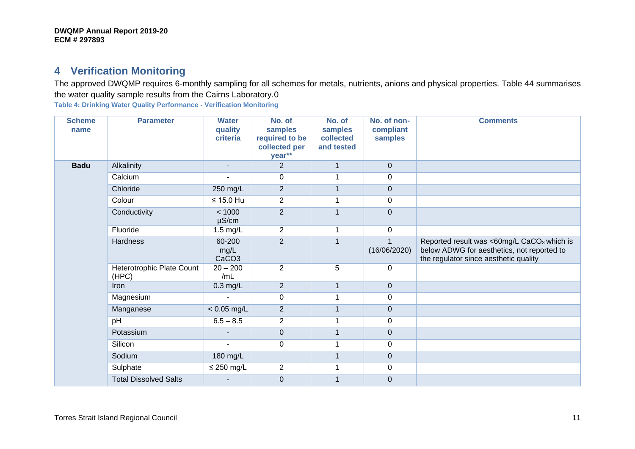# **4 Verification Monitoring**

The approved DWQMP requires 6-monthly sampling for all schemes for metals, nutrients, anions and physical properties. [Table 44](#page-10-2) summarises the water quality sample results from the Cairns Laboratory.0

<span id="page-10-2"></span>**Table 4: Drinking Water Quality Performance - Verification Monitoring**

<span id="page-10-1"></span><span id="page-10-0"></span>

| <b>Scheme</b><br>name | <b>Parameter</b>                   | <b>Water</b><br>quality<br>criteria | No. of<br>samples<br>required to be<br>collected per<br>year** | No. of<br>samples<br>collected<br>and tested | No. of non-<br>compliant<br>samples | <b>Comments</b>                                                                                                                               |
|-----------------------|------------------------------------|-------------------------------------|----------------------------------------------------------------|----------------------------------------------|-------------------------------------|-----------------------------------------------------------------------------------------------------------------------------------------------|
| <b>Badu</b>           | Alkalinity                         | $\sim$                              | $\overline{2}$                                                 | 1                                            | $\mathbf 0$                         |                                                                                                                                               |
|                       | Calcium                            |                                     | 0                                                              |                                              | $\mathbf 0$                         |                                                                                                                                               |
|                       | Chloride                           | 250 mg/L                            | $\overline{2}$                                                 | $\mathbf 1$                                  | $\mathbf 0$                         |                                                                                                                                               |
|                       | Colour                             | $≤ 15.0$ Hu                         | $\overline{2}$                                                 | 1                                            | 0                                   |                                                                                                                                               |
|                       | Conductivity                       | < 1000<br>$\mu$ S/cm                | $\overline{2}$                                                 | 1                                            | $\mathbf 0$                         |                                                                                                                                               |
|                       | Fluoride                           | $1.5$ mg/L                          | $\overline{2}$                                                 | 1                                            | $\mathbf 0$                         |                                                                                                                                               |
|                       | <b>Hardness</b>                    | 60-200<br>mg/L<br>CaCO <sub>3</sub> | $\overline{2}$                                                 | $\overline{1}$                               | (16/06/2020)                        | Reported result was <60mg/L CaCO <sub>3</sub> which is<br>below ADWG for aesthetics, not reported to<br>the regulator since aesthetic quality |
|                       | Heterotrophic Plate Count<br>(HPC) | $20 - 200$<br>/mL                   | $\overline{2}$                                                 | 5                                            | 0                                   |                                                                                                                                               |
|                       | <b>Iron</b>                        | $0.3$ mg/L                          | $\overline{2}$                                                 | 1                                            | $\pmb{0}$                           |                                                                                                                                               |
|                       | Magnesium                          | ä,                                  | 0                                                              | 1                                            | 0                                   |                                                                                                                                               |
|                       | Manganese                          | $< 0.05$ mg/L                       | $\overline{2}$                                                 | 1                                            | $\pmb{0}$                           |                                                                                                                                               |
|                       | pH                                 | $6.5 - 8.5$                         | $\overline{2}$                                                 | 1                                            | 0                                   |                                                                                                                                               |
|                       | Potassium                          |                                     | 0                                                              | $\mathbf{1}$                                 | $\pmb{0}$                           |                                                                                                                                               |
|                       | Silicon                            | ä,                                  | 0                                                              | 1                                            | 0                                   |                                                                                                                                               |
|                       | Sodium                             | 180 mg/L                            |                                                                | 1                                            | $\mathbf 0$                         |                                                                                                                                               |
|                       | Sulphate                           | $\leq$ 250 mg/L                     | $\overline{2}$                                                 | 1                                            | 0                                   |                                                                                                                                               |
|                       | <b>Total Dissolved Salts</b>       |                                     | $\pmb{0}$                                                      |                                              | $\mathbf 0$                         |                                                                                                                                               |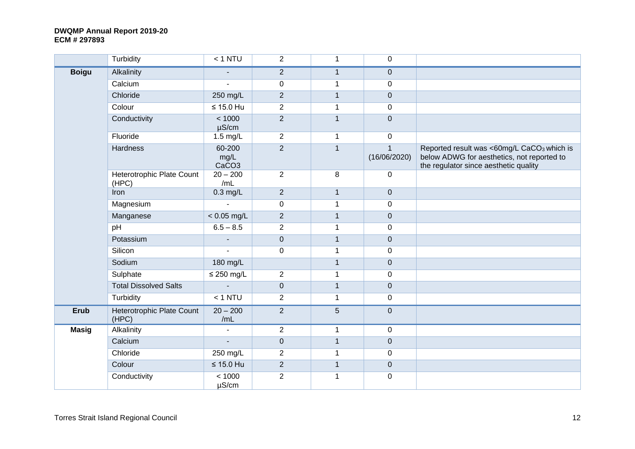|              | Turbidity                                 | $< 1$ NTU                           | $\overline{2}$ | $\mathbf{1}$ | $\mathbf 0$      |                                                                                                                                               |
|--------------|-------------------------------------------|-------------------------------------|----------------|--------------|------------------|-----------------------------------------------------------------------------------------------------------------------------------------------|
| <b>Boigu</b> | Alkalinity                                | $\blacksquare$                      | $\mathbf{2}$   | $\mathbf{1}$ | $\mathbf 0$      |                                                                                                                                               |
|              | Calcium                                   | $\blacksquare$                      | $\mathsf 0$    | $\mathbf{1}$ | 0                |                                                                                                                                               |
|              | Chloride                                  | 250 mg/L                            | $\overline{2}$ | $\mathbf{1}$ | $\mathbf{0}$     |                                                                                                                                               |
|              | Colour                                    | $\leq 15.0$ Hu                      | $\overline{2}$ | $\mathbf{1}$ | $\mathbf 0$      |                                                                                                                                               |
|              | Conductivity                              | < 1000<br>$\mu$ S/cm                | $\overline{2}$ | $\mathbf{1}$ | $\mathbf 0$      |                                                                                                                                               |
|              | Fluoride                                  | $1.5$ mg/L                          | 2              | 1            | $\mathbf 0$      |                                                                                                                                               |
|              | Hardness                                  | 60-200<br>mg/L<br>CaCO <sub>3</sub> | $\overline{2}$ | $\mathbf{1}$ | (16/06/2020)     | Reported result was <60mg/L CaCO <sub>3</sub> which is<br>below ADWG for aesthetics, not reported to<br>the regulator since aesthetic quality |
|              | Heterotrophic Plate Count<br>(HPC)        | $20 - 200$<br>/mL                   | $\overline{2}$ | 8            | $\mathbf 0$      |                                                                                                                                               |
|              | Iron                                      | $0.3$ mg/L                          | $\overline{2}$ | $\mathbf{1}$ | $\overline{0}$   |                                                                                                                                               |
|              | Magnesium                                 |                                     | $\pmb{0}$      | $\mathbf{1}$ | $\mathsf 0$      |                                                                                                                                               |
|              | Manganese                                 | $< 0.05$ mg/L                       | $\sqrt{2}$     | $\mathbf{1}$ | $\pmb{0}$        |                                                                                                                                               |
|              | pH                                        | $6.5 - 8.5$                         | $\overline{2}$ | $\mathbf{1}$ | $\mathbf 0$      |                                                                                                                                               |
|              | Potassium                                 | $\sim$                              | $\pmb{0}$      | $\mathbf{1}$ | $\mathbf 0$      |                                                                                                                                               |
|              | Silicon                                   | $\mathbf{r}$                        | $\pmb{0}$      | $\mathbf 1$  | $\boldsymbol{0}$ |                                                                                                                                               |
|              | Sodium                                    | 180 mg/L                            |                | $\mathbf{1}$ | $\mathbf 0$      |                                                                                                                                               |
|              | Sulphate                                  | $\leq$ 250 mg/L                     | $\overline{2}$ | $\mathbf{1}$ | $\mathbf 0$      |                                                                                                                                               |
|              | <b>Total Dissolved Salts</b>              | $\blacksquare$                      | $\pmb{0}$      | $\mathbf{1}$ | $\overline{0}$   |                                                                                                                                               |
|              | Turbidity                                 | $< 1$ NTU                           | $\mathbf{2}$   | $\mathbf{1}$ | $\mathbf 0$      |                                                                                                                                               |
| Erub         | <b>Heterotrophic Plate Count</b><br>(HPC) | $20 - 200$<br>/mL                   | $\overline{2}$ | 5            | $\overline{0}$   |                                                                                                                                               |
| <b>Masig</b> | Alkalinity                                | $\blacksquare$                      | $\overline{2}$ | $\mathbf 1$  | $\mathsf 0$      |                                                                                                                                               |
|              | Calcium                                   | $\blacksquare$                      | $\mathbf 0$    | $\mathbf{1}$ | $\pmb{0}$        |                                                                                                                                               |
|              | Chloride                                  | 250 mg/L                            | $\overline{2}$ | $\mathbf{1}$ | $\mathbf 0$      |                                                                                                                                               |
|              | Colour                                    | $\leq 15.0$ Hu                      | $\sqrt{2}$     | $\mathbf{1}$ | $\mathbf 0$      |                                                                                                                                               |
|              | Conductivity                              | < 1000<br>$\mu$ S/cm                | $\overline{c}$ | 1            | $\mathbf 0$      |                                                                                                                                               |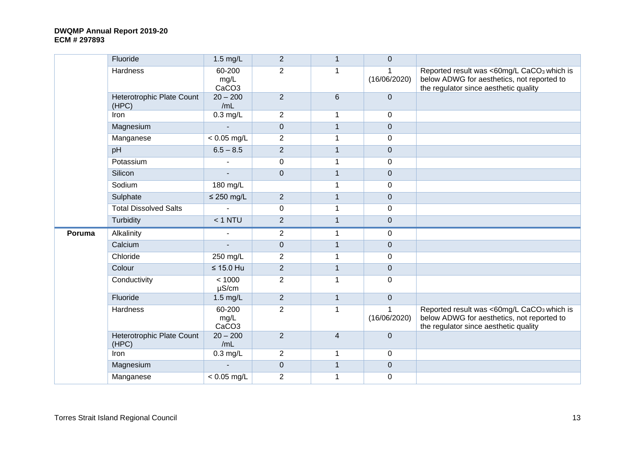|        | Fluoride                           | 1.5 mg/L                            | $\overline{2}$   | $\mathbf{1}$   | $\pmb{0}$         |                                                                                                                                               |
|--------|------------------------------------|-------------------------------------|------------------|----------------|-------------------|-----------------------------------------------------------------------------------------------------------------------------------------------|
|        | Hardness                           | 60-200<br>mg/L<br>CaCO <sub>3</sub> | $\overline{2}$   | 1              | 1<br>(16/06/2020) | Reported result was <60mg/L CaCO <sub>3</sub> which is<br>below ADWG for aesthetics, not reported to<br>the regulator since aesthetic quality |
|        | Heterotrophic Plate Count<br>(HPC) | $20 - 200$<br>/mL                   | $\overline{2}$   | 6              | $\mathbf 0$       |                                                                                                                                               |
|        | Iron                               | $0.3$ mg/L                          | $\overline{2}$   | 1              | $\mathbf 0$       |                                                                                                                                               |
|        | Magnesium                          | ÷,                                  | $\mathbf 0$      | $\mathbf{1}$   | $\pmb{0}$         |                                                                                                                                               |
|        | Manganese                          | $< 0.05$ mg/L                       | $\overline{c}$   | 1              | $\mathbf 0$       |                                                                                                                                               |
|        | pH                                 | $6.5 - 8.5$                         | $\overline{c}$   | $\mathbf{1}$   | $\mathbf 0$       |                                                                                                                                               |
|        | Potassium                          |                                     | $\boldsymbol{0}$ | 1              | 0                 |                                                                                                                                               |
|        | Silicon                            |                                     | $\pmb{0}$        | $\mathbf{1}$   | $\mathbf 0$       |                                                                                                                                               |
|        | Sodium                             | 180 mg/L                            |                  | 1              | $\mathbf 0$       |                                                                                                                                               |
|        | Sulphate                           | $\leq$ 250 mg/L                     | $\overline{2}$   | $\mathbf{1}$   | $\mathbf 0$       |                                                                                                                                               |
|        | <b>Total Dissolved Salts</b>       |                                     | $\mathbf 0$      | $\mathbf{1}$   | $\mathbf 0$       |                                                                                                                                               |
|        | Turbidity                          | $< 1$ NTU                           | $\overline{2}$   | $\mathbf{1}$   | $\mathbf 0$       |                                                                                                                                               |
| Poruma | Alkalinity                         | $\blacksquare$                      | $\overline{2}$   | $\mathbf{1}$   | 0                 |                                                                                                                                               |
|        | Calcium                            |                                     | $\pmb{0}$        | $\mathbf{1}$   | $\mathbf 0$       |                                                                                                                                               |
|        | Chloride                           | 250 mg/L                            | $\overline{c}$   | $\mathbf{1}$   | $\mathbf 0$       |                                                                                                                                               |
|        | Colour                             | $\leq 15.0$ Hu                      | $\overline{2}$   | $\mathbf{1}$   | $\mathbf 0$       |                                                                                                                                               |
|        | Conductivity                       | < 1000<br>$\mu$ S/cm                | $\overline{2}$   | 1              | 0                 |                                                                                                                                               |
|        | Fluoride                           | 1.5 mg/L                            | $\overline{2}$   | $\mathbf{1}$   | $\mathbf 0$       |                                                                                                                                               |
|        | Hardness                           | 60-200<br>mg/L<br>CaCO <sub>3</sub> | $\overline{2}$   | $\mathbf{1}$   | 1<br>(16/06/2020) | Reported result was <60mg/L CaCO <sub>3</sub> which is<br>below ADWG for aesthetics, not reported to<br>the regulator since aesthetic quality |
|        | Heterotrophic Plate Count<br>(HPC) | $20 - 200$<br>/mL                   | $\overline{2}$   | $\overline{4}$ | $\mathbf 0$       |                                                                                                                                               |
|        | Iron                               | $0.3$ mg/L                          | $\overline{2}$   | 1              | $\mathbf 0$       |                                                                                                                                               |
|        | Magnesium                          |                                     | $\pmb{0}$        | $\mathbf{1}$   | $\mathbf 0$       |                                                                                                                                               |
|        | Manganese                          | $< 0.05$ mg/L                       | $\overline{2}$   | $\mathbf 1$    | 0                 |                                                                                                                                               |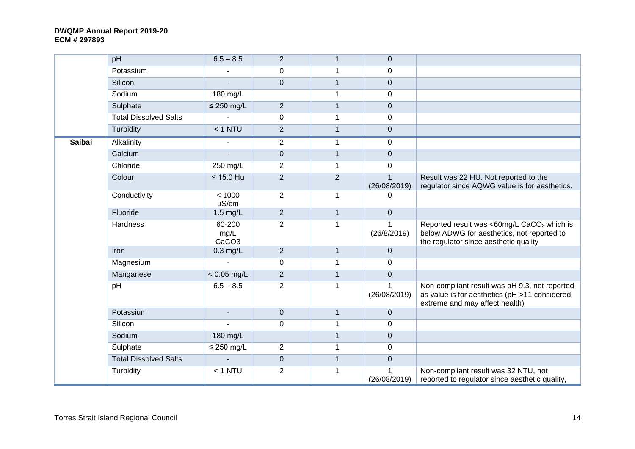|               | pH                           | $6.5 - 8.5$                         | $\overline{2}$   | $\mathbf{1}$   | $\overline{0}$                 |                                                                                                                                               |
|---------------|------------------------------|-------------------------------------|------------------|----------------|--------------------------------|-----------------------------------------------------------------------------------------------------------------------------------------------|
|               | Potassium                    |                                     | $\pmb{0}$        | 1              | $\mathbf 0$                    |                                                                                                                                               |
|               | Silicon                      | $\blacksquare$                      | $\mathbf 0$      | $\mathbf{1}$   | $\mathbf 0$                    |                                                                                                                                               |
|               | Sodium                       | 180 mg/L                            |                  | 1              | $\Omega$                       |                                                                                                                                               |
|               | Sulphate                     | $\leq$ 250 mg/L                     | $\overline{2}$   | $\mathbf{1}$   | $\mathbf 0$                    |                                                                                                                                               |
|               | <b>Total Dissolved Salts</b> |                                     | $\mathbf 0$      | 1              | $\Omega$                       |                                                                                                                                               |
|               | Turbidity                    | $< 1$ NTU                           | $\overline{2}$   | $\mathbf{1}$   | $\overline{0}$                 |                                                                                                                                               |
| <b>Saibai</b> | Alkalinity                   | $\blacksquare$                      | $\overline{2}$   | $\mathbf 1$    | $\mathbf 0$                    |                                                                                                                                               |
|               | Calcium                      |                                     | $\boldsymbol{0}$ | $\overline{1}$ | $\overline{0}$                 |                                                                                                                                               |
|               | Chloride                     | 250 mg/L                            | $\overline{2}$   | 1              | $\Omega$                       |                                                                                                                                               |
|               | Colour                       | $\leq 15.0$ Hu                      | $\overline{2}$   | $\overline{2}$ | (26/08/2019)                   | Result was 22 HU. Not reported to the<br>regulator since AQWG value is for aesthetics.                                                        |
|               | Conductivity                 | < 1000<br>$\mu$ S/cm                | $\overline{2}$   | $\mathbf 1$    | 0                              |                                                                                                                                               |
|               | Fluoride                     | $1.5$ mg/L                          | $\overline{2}$   | $\mathbf{1}$   | $\overline{0}$                 |                                                                                                                                               |
|               | <b>Hardness</b>              | 60-200<br>mg/L<br>CaCO <sub>3</sub> | $\overline{2}$   | 1              | -1<br>(26/8/2019)              | Reported result was <60mg/L CaCO <sub>3</sub> which is<br>below ADWG for aesthetics, not reported to<br>the regulator since aesthetic quality |
|               | Iron                         | $0.3$ mg/L                          | $\overline{2}$   | $\overline{1}$ | $\Omega$                       |                                                                                                                                               |
|               | Magnesium                    |                                     | $\mathbf 0$      | 1              | 0                              |                                                                                                                                               |
|               | Manganese                    | $< 0.05$ mg/L                       | $\overline{2}$   | $\mathbf{1}$   | $\mathbf 0$                    |                                                                                                                                               |
|               | pH                           | $6.5 - 8.5$                         | $\overline{2}$   | $\mathbf{1}$   | $\overline{1}$<br>(26/08/2019) | Non-compliant result was pH 9.3, not reported<br>as value is for aesthetics (pH >11 considered<br>extreme and may affect health)              |
|               | Potassium                    | $\blacksquare$                      | $\mathbf 0$      | $\mathbf{1}$   | $\overline{0}$                 |                                                                                                                                               |
|               | Silicon                      |                                     | $\mathbf 0$      | 1              | $\mathbf 0$                    |                                                                                                                                               |
|               | Sodium                       | 180 mg/L                            |                  | $\mathbf{1}$   | $\mathbf 0$                    |                                                                                                                                               |
|               | Sulphate                     | $\leq$ 250 mg/L                     | $\overline{2}$   | $\overline{1}$ | 0                              |                                                                                                                                               |
|               | <b>Total Dissolved Salts</b> |                                     | $\mathbf 0$      | $\mathbf{1}$   | $\mathbf 0$                    |                                                                                                                                               |
|               | Turbidity                    | $< 1$ NTU                           | $\overline{2}$   | 1              | (26/08/2019)                   | Non-compliant result was 32 NTU, not<br>reported to regulator since aesthetic quality,                                                        |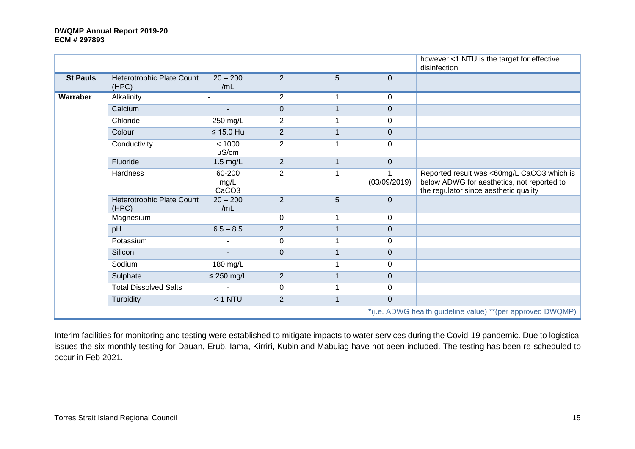|                 |                                    |                                     |                |              |                | however <1 NTU is the target for effective<br>disinfection                                                                        |
|-----------------|------------------------------------|-------------------------------------|----------------|--------------|----------------|-----------------------------------------------------------------------------------------------------------------------------------|
| <b>St Pauls</b> | Heterotrophic Plate Count<br>(HPC) | $20 - 200$<br>/mL                   | $\overline{2}$ | 5            | $\Omega$       |                                                                                                                                   |
| Warraber        | Alkalinity                         | $\overline{a}$                      | $\overline{2}$ | 1            | 0              |                                                                                                                                   |
|                 | Calcium                            | $\blacksquare$                      | $\pmb{0}$      |              | $\mathbf 0$    |                                                                                                                                   |
|                 | Chloride                           | 250 mg/L                            | $\overline{2}$ | 1            | $\mathbf 0$    |                                                                                                                                   |
|                 | Colour                             | $\leq 15.0$ Hu                      | $\overline{2}$ |              | $\mathbf 0$    |                                                                                                                                   |
|                 | Conductivity                       | < 1000<br>$\mu$ S/cm                | $\overline{2}$ |              | 0              |                                                                                                                                   |
|                 | Fluoride                           | 1.5 mg/L                            | $\overline{2}$ | $\mathbf{1}$ | $\Omega$       |                                                                                                                                   |
|                 | Hardness                           | 60-200<br>mg/L<br>CaCO <sub>3</sub> | $\overline{2}$ |              | (03/09/2019)   | Reported result was <60mg/L CaCO3 which is<br>below ADWG for aesthetics, not reported to<br>the regulator since aesthetic quality |
|                 | Heterotrophic Plate Count<br>(HPC) | $20 - 200$<br>/mL                   | $\overline{2}$ | 5            | $\mathbf 0$    |                                                                                                                                   |
|                 | Magnesium                          |                                     | $\mathbf 0$    | 1            | 0              |                                                                                                                                   |
|                 | pH                                 | $6.5 - 8.5$                         | $\overline{2}$ | 1            | $\mathbf 0$    |                                                                                                                                   |
|                 | Potassium                          |                                     | $\mathbf 0$    |              | $\overline{0}$ |                                                                                                                                   |
|                 | Silicon                            |                                     | $\overline{0}$ | 1            | $\mathbf 0$    |                                                                                                                                   |
|                 | Sodium                             | 180 mg/L                            |                | 1            | 0              |                                                                                                                                   |
|                 | Sulphate                           | $\leq$ 250 mg/L                     | $\overline{2}$ | $\mathbf{1}$ | $\mathbf 0$    |                                                                                                                                   |
|                 | <b>Total Dissolved Salts</b>       | $\blacksquare$                      | $\mathbf 0$    | 1            | $\mathbf 0$    |                                                                                                                                   |
|                 | Turbidity                          | $< 1$ NTU                           | $\overline{2}$ | $\mathbf{1}$ | $\mathbf 0$    |                                                                                                                                   |
|                 |                                    |                                     |                |              |                | *(i.e. ADWG health guideline value) **(per approved DWQMP)                                                                        |

Interim facilities for monitoring and testing were established to mitigate impacts to water services during the Covid-19 pandemic. Due to logistical issues the six-monthly testing for Dauan, Erub, Iama, Kirriri, Kubin and Mabuiag have not been included. The testing has been re-scheduled to occur in Feb 2021.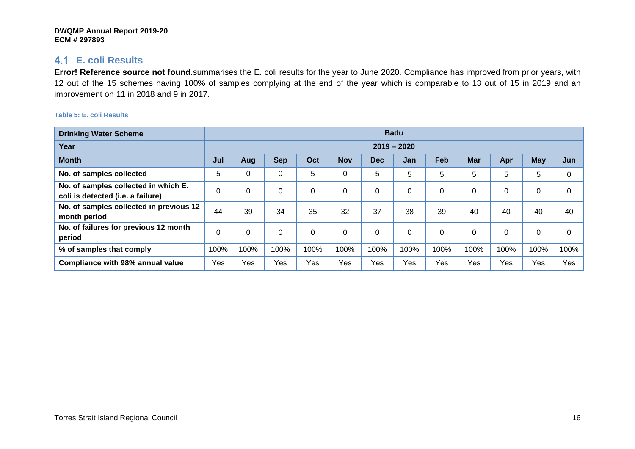## **E. coli Results**

**Error! Reference source not found.**summarises the E. coli results for the year to June 2020. Compliance has improved from prior years, with 12 out of the 15 schemes having 100% of samples complying at the end of the year which is comparable to 13 out of 15 in 2019 and an improvement on 11 in 2018 and 9 in 2017.

<span id="page-15-1"></span><span id="page-15-0"></span>

| <b>Drinking Water Scheme</b>                                              | <b>Badu</b> |      |            |      |            |            |               |            |            |      |      |          |
|---------------------------------------------------------------------------|-------------|------|------------|------|------------|------------|---------------|------------|------------|------|------|----------|
| Year                                                                      |             |      |            |      |            |            | $2019 - 2020$ |            |            |      |      |          |
| <b>Month</b>                                                              | Jul         | Aug  | <b>Sep</b> | Oct  | <b>Nov</b> | <b>Dec</b> | Jan           | <b>Feb</b> | <b>Mar</b> | Apr  | May  | Jun      |
| No. of samples collected                                                  | 5           | 0    | 0          | 5    | 0          | 5          | 5             | 5          | 5          | 5    | 5    | 0        |
| No. of samples collected in which E.<br>coli is detected (i.e. a failure) | $\mathbf 0$ | 0    | 0          | 0    | 0          | $\Omega$   | 0             | $\Omega$   | 0          |      | 0    | 0        |
| No. of samples collected in previous 12<br>month period                   | 44          | 39   | 34         | 35   | 32         | 37         | 38            | 39         | 40         | 40   | 40   | 40       |
| No. of failures for previous 12 month<br>period                           | 0           | 0    | 0          | 0    | 0          | 0          | 0             | $\Omega$   | $\Omega$   |      | 0    | $\Omega$ |
| % of samples that comply                                                  | 100%        | 100% | 100%       | 100% | 100%       | 100%       | 100%          | 100%       | 100%       | 100% | 100% | 100%     |
| <b>Compliance with 98% annual value</b>                                   | Yes         | Yes  | Yes        | Yes  | Yes        | Yes        | Yes           | Yes        | Yes        | Yes  | Yes  | Yes      |

## **Table 5: E. coli Results**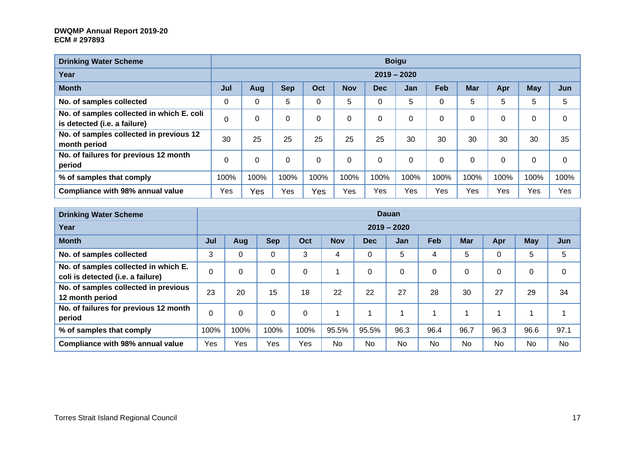| <b>Drinking Water Scheme</b>                                              |          |             |            |          |            |            | <b>Boigu</b>  |          |            |      |            |          |
|---------------------------------------------------------------------------|----------|-------------|------------|----------|------------|------------|---------------|----------|------------|------|------------|----------|
| Year                                                                      |          |             |            |          |            |            | $2019 - 2020$ |          |            |      |            |          |
| <b>Month</b>                                                              | Jul      | Aug         | <b>Sep</b> | Oct      | <b>Nov</b> | <b>Dec</b> | <b>Jan</b>    | Feb      | <b>Mar</b> | Apr  | <b>May</b> | Jun      |
| No. of samples collected                                                  | 0        | 0           | 5          | 0        | 5          | 0          | 5             | 0        | 5          | 5    | 5          | 5        |
| No. of samples collected in which E. coli<br>is detected (i.e. a failure) | $\Omega$ |             | $\Omega$   | 0        | 0          | 0          | $\Omega$      | $\Omega$ | $\Omega$   | 0    | 0          | $\Omega$ |
| No. of samples collected in previous 12<br>month period                   | 30       | 25          | 25         | 25       | 25         | 25         | 30            | 30       | 30         | 30   | 30         | 35       |
| No. of failures for previous 12 month<br>period                           | 0        | $\mathbf 0$ | $\Omega$   | $\Omega$ | 0          | 0          | $\Omega$      | 0        | $\Omega$   | 0    | 0          | $\Omega$ |
| % of samples that comply                                                  | 100%     | 100%        | 100%       | 100%     | 100%       | 100%       | 100%          | 100%     | 100%       | 100% | 100%       | 100%     |
| Compliance with 98% annual value                                          | Yes      | Yes         | Yes        | Yes      | Yes        | Yes        | Yes           | Yes      | Yes        | Yes  | Yes        | Yes      |

| <b>Drinking Water Scheme</b>                                              | Dauan |          |            |          |            |            |               |      |            |           |            |      |
|---------------------------------------------------------------------------|-------|----------|------------|----------|------------|------------|---------------|------|------------|-----------|------------|------|
| Year                                                                      |       |          |            |          |            |            | $2019 - 2020$ |      |            |           |            |      |
| <b>Month</b>                                                              | Jul   | Aug      | <b>Sep</b> | Oct      | <b>Nov</b> | <b>Dec</b> | <b>Jan</b>    | Feb  | <b>Mar</b> | Apr       | <b>May</b> | Jun  |
| No. of samples collected                                                  | 3     | 0        | 0          | 3        | 4          | $\Omega$   | 5             | 4    | 5          | 0         | 5          | 5    |
| No. of samples collected in which E.<br>coli is detected (i.e. a failure) | 0     | 0        | 0          | 0        |            | $\Omega$   | 0             | 0    | 0          | 0         | 0          | 0    |
| No. of samples collected in previous<br>12 month period                   | 23    | 20       | 15         | 18       | 22         | 22         | 27            | 28   | 30         | 27        | 29         | 34   |
| No. of failures for previous 12 month<br>period                           | 0     | $\Omega$ | 0          | $\Omega$ |            |            |               |      | ◢          |           |            |      |
| % of samples that comply                                                  | 100%  | 100%     | 100%       | 100%     | 95.5%      | 95.5%      | 96.3          | 96.4 | 96.7       | 96.3      | 96.6       | 97.1 |
| <b>Compliance with 98% annual value</b>                                   | Yes   | Yes      | Yes        | Yes      | No         | <b>No</b>  | No            | No   | <b>No</b>  | <b>No</b> | No         | No   |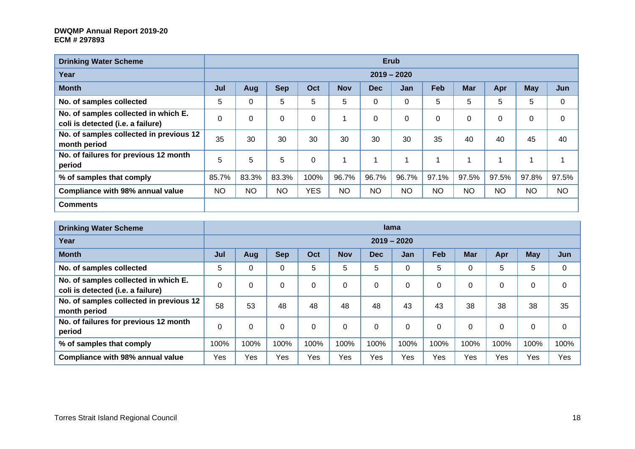| <b>Drinking Water Scheme</b>                                              |           |           |             |            |            |            | <b>Erub</b>   |           |            |           |            |           |
|---------------------------------------------------------------------------|-----------|-----------|-------------|------------|------------|------------|---------------|-----------|------------|-----------|------------|-----------|
| Year                                                                      |           |           |             |            |            |            | $2019 - 2020$ |           |            |           |            |           |
| <b>Month</b>                                                              | Jul       | Aug       | <b>Sep</b>  | Oct        | <b>Nov</b> | <b>Dec</b> | <b>Jan</b>    | Feb       | <b>Mar</b> | Apr       | <b>May</b> | Jun       |
| No. of samples collected                                                  | 5         | 0         | 5           | 5          | 5          | $\Omega$   | 0             | 5         | 5          | 5         | 5          | 0         |
| No. of samples collected in which E.<br>coli is detected (i.e. a failure) | 0         | 0         | $\mathbf 0$ | 0          |            | $\Omega$   | $\mathbf 0$   | 0         | $\Omega$   | 0         | 0          | $\Omega$  |
| No. of samples collected in previous 12<br>month period                   | 35        | 30        | 30          | 30         | 30         | 30         | 30            | 35        | 40         | 40        | 45         | 40        |
| No. of failures for previous 12 month<br>period                           | 5         | 5         | 5           | 0          |            |            |               |           | 4          |           |            |           |
| % of samples that comply                                                  | 85.7%     | 83.3%     | 83.3%       | 100%       | 96.7%      | 96.7%      | 96.7%         | 97.1%     | 97.5%      | 97.5%     | 97.8%      | 97.5%     |
| Compliance with 98% annual value                                          | <b>NO</b> | <b>NO</b> | <b>NO</b>   | <b>YES</b> | <b>NO</b>  | <b>NO</b>  | <b>NO</b>     | <b>NO</b> | NO         | <b>NO</b> | <b>NO</b>  | <b>NO</b> |
| <b>Comments</b>                                                           |           |           |             |            |            |            |               |           |            |           |            |           |

| <b>Drinking Water Scheme</b>                                              | lama        |            |            |          |            |            |               |          |            |                |      |          |
|---------------------------------------------------------------------------|-------------|------------|------------|----------|------------|------------|---------------|----------|------------|----------------|------|----------|
| Year                                                                      |             |            |            |          |            |            | $2019 - 2020$ |          |            |                |      |          |
| <b>Month</b>                                                              | Jul         | <b>Aug</b> | <b>Sep</b> | Oct      | <b>Nov</b> | <b>Dec</b> | Jan           | Feb      | <b>Mar</b> | Apr            | May  | Jun      |
| No. of samples collected                                                  | 5           | 0          | 0          | 5        | 5          | 5          | 0             | 5        | 0          | 5              | 5    | 0        |
| No. of samples collected in which E.<br>coli is detected (i.e. a failure) | 0           | 0          | 0          | 0        | 0          | 0          | 0             | $\Omega$ | 0          | 0              | 0    | 0        |
| No. of samples collected in previous 12<br>month period                   | 58          | 53         | 48         | 48       | 48         | 48         | 43            | 43       | 38         | 38             | 38   | 35       |
| No. of failures for previous 12 month<br>period                           | $\mathbf 0$ | 0          | $\Omega$   | $\Omega$ | $\Omega$   | $\Omega$   | $\Omega$      | $\Omega$ | $\Omega$   | $\overline{0}$ | 0    | $\Omega$ |
| % of samples that comply                                                  | 100%        | 100%       | 100%       | 100%     | 100%       | 100%       | 100%          | 100%     | 100%       | 100%           | 100% | 100%     |
| <b>Compliance with 98% annual value</b>                                   | Yes         | Yes        | Yes        | Yes      | Yes        | Yes        | Yes           | Yes      | Yes        | Yes            | Yes  | Yes      |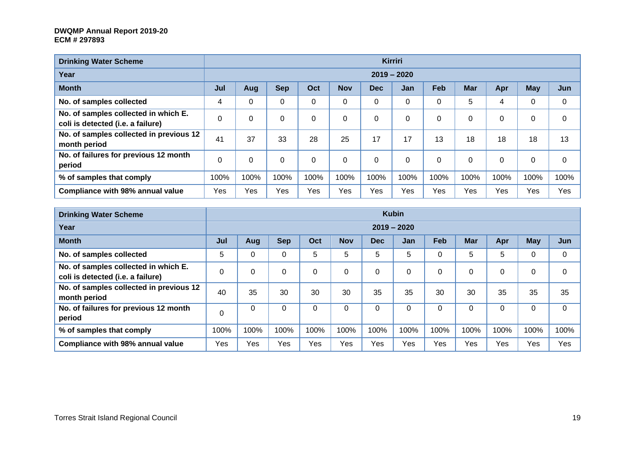| <b>Drinking Water Scheme</b>                                              |          |      |             |          |            |            | <b>Kirriri</b> |          |            |             |             |             |
|---------------------------------------------------------------------------|----------|------|-------------|----------|------------|------------|----------------|----------|------------|-------------|-------------|-------------|
| Year                                                                      |          |      |             |          |            |            | $2019 - 2020$  |          |            |             |             |             |
| <b>Month</b>                                                              | Jul      | Aug  | <b>Sep</b>  | Oct      | <b>Nov</b> | <b>Dec</b> | Jan            | Feb      | <b>Mar</b> | Apr         | <b>May</b>  | Jun         |
| No. of samples collected                                                  | 4        | 0    | 0           | 0        | $\Omega$   | $\Omega$   | 0              | 0        | 5          | 4           | 0           | 0           |
| No. of samples collected in which E.<br>coli is detected (i.e. a failure) | $\Omega$ | 0    | 0           | $\Omega$ | $\Omega$   | $\Omega$   | 0              | $\Omega$ | 0          | $\Omega$    | 0           | 0           |
| No. of samples collected in previous 12<br>month period                   | 41       | 37   | 33          | 28       | 25         | 17         | 17             | 13       | 18         | 18          | 18          | 13          |
| No. of failures for previous 12 month<br>period                           | $\Omega$ | 0    | $\mathbf 0$ | $\Omega$ | $\Omega$   | $\Omega$   | $\mathbf 0$    | $\Omega$ | 0          | $\mathbf 0$ | $\mathbf 0$ | $\mathbf 0$ |
| % of samples that comply                                                  | 100%     | 100% | 100%        | 100%     | 100%       | 100%       | 100%           | 100%     | 100%       | 100%        | 100%        | 100%        |
| Compliance with 98% annual value                                          | Yes      | Yes  | Yes         | Yes      | Yes        | Yes        | Yes            | Yes      | Yes        | Yes         | Yes         | Yes         |

| <b>Drinking Water Scheme</b>                                              | <b>Kubin</b> |      |            |          |            |            |               |          |             |          |            |      |
|---------------------------------------------------------------------------|--------------|------|------------|----------|------------|------------|---------------|----------|-------------|----------|------------|------|
| Year                                                                      |              |      |            |          |            |            | $2019 - 2020$ |          |             |          |            |      |
| <b>Month</b>                                                              | Jul          | Aug  | <b>Sep</b> | Oct      | <b>Nov</b> | <b>Dec</b> | <b>Jan</b>    | Feb      | <b>Mar</b>  | Apr      | <b>May</b> | Jun  |
| No. of samples collected                                                  | 5            | 0    | 0          | 5        | 5          | 5          | 5             | $\Omega$ | 5           | 5        | 0          | 0    |
| No. of samples collected in which E.<br>coli is detected (i.e. a failure) | 0            | 0    | 0          | $\Omega$ | 0          |            | 0             | $\Omega$ | $\mathbf 0$ | 0        | 0          | 0    |
| No. of samples collected in previous 12<br>month period                   | 40           | 35   | 30         | 30       | 30         | 35         | 35            | 30       | 30          | 35       | 35         | 35   |
| No. of failures for previous 12 month<br>period                           | $\Omega$     | 0    | 0          | 0        | $\Omega$   | $\Omega$   | $\Omega$      | $\Omega$ | 0           | $\Omega$ | 0          | 0    |
| % of samples that comply                                                  | 100%         | 100% | 100%       | 100%     | 100%       | 100%       | 100%          | 100%     | 100%        | 100%     | 100%       | 100% |
| <b>Compliance with 98% annual value</b>                                   | Yes          | Yes  | Yes        | Yes      | Yes        | Yes        | Yes           | Yes      | Yes         | Yes      | Yes        | Yes  |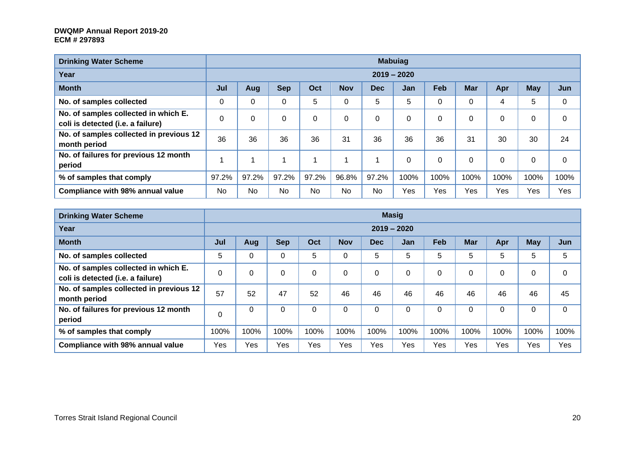| <b>Drinking Water Scheme</b>                                              |           |       |                |           |            |            | <b>Mabuiag</b> |            |            |      |            |          |
|---------------------------------------------------------------------------|-----------|-------|----------------|-----------|------------|------------|----------------|------------|------------|------|------------|----------|
| Year                                                                      |           |       |                |           |            |            | $2019 - 2020$  |            |            |      |            |          |
| <b>Month</b>                                                              | Jul       | Aug   | <b>Sep</b>     | Oct       | <b>Nov</b> | <b>Dec</b> | Jan            | <b>Feb</b> | <b>Mar</b> | Apr  | <b>May</b> | Jun      |
| No. of samples collected                                                  |           | 0     | $\overline{0}$ | 5         | 0          | 5          | 5              | $\Omega$   | 0          | 4    | 5          | 0        |
| No. of samples collected in which E.<br>coli is detected (i.e. a failure) |           | 0     | $\Omega$       | 0         | $\Omega$   | 0          | 0              | 0          | $\Omega$   | 0    | 0          | $\Omega$ |
| No. of samples collected in previous 12<br>month period                   | 36        | 36    | 36             | 36        | 31         | 36         | 36             | 36         | 31         | 30   | 30         | 24       |
| No. of failures for previous 12 month<br>period                           |           |       |                |           |            |            | 0              | $\Omega$   | $\Omega$   | 0    | 0          | 0        |
| % of samples that comply                                                  | 97.2%     | 97.2% | 97.2%          | 97.2%     | 96.8%      | 97.2%      | 100%           | 100%       | 100%       | 100% | 100%       | 100%     |
| Compliance with 98% annual value                                          | <b>No</b> | No    | No             | <b>No</b> | No         | <b>No</b>  | Yes            | Yes        | Yes        | Yes  | Yes        | Yes      |

| <b>Drinking Water Scheme</b>                                              | <b>Masig</b> |      |             |          |            |            |               |            |            |             |            |          |
|---------------------------------------------------------------------------|--------------|------|-------------|----------|------------|------------|---------------|------------|------------|-------------|------------|----------|
| Year                                                                      |              |      |             |          |            |            | $2019 - 2020$ |            |            |             |            |          |
| <b>Month</b>                                                              | Jul          | Aug  | <b>Sep</b>  | Oct      | <b>Nov</b> | <b>Dec</b> | Jan           | <b>Feb</b> | <b>Mar</b> | Apr         | <b>May</b> | Jun      |
| No. of samples collected                                                  | 5            | 0    | 0           | 5        | 0          | 5          | 5             | 5          | 5          | 5           | 5          | 5        |
| No. of samples collected in which E.<br>coli is detected (i.e. a failure) | 0            | 0    | 0           | $\Omega$ | $\Omega$   | 0          | 0             | $\Omega$   | 0          | 0           |            | $\Omega$ |
| No. of samples collected in previous 12<br>month period                   | 57           | 52   | 47          | 52       | 46         | 46         | 46            | 46         | 46         | 46          | 46         | 45       |
| No. of failures for previous 12 month<br>period                           | $\Omega$     | 0    | $\mathbf 0$ | $\Omega$ | $\Omega$   | $\Omega$   | $\Omega$      | $\Omega$   | 0          | $\mathbf 0$ | 0          | $\Omega$ |
| % of samples that comply                                                  | 100%         | 100% | 100%        | 100%     | 100%       | 100%       | 100%          | 100%       | 100%       | 100%        | 100%       | 100%     |
| <b>Compliance with 98% annual value</b>                                   | Yes          | Yes  | Yes         | Yes      | Yes        | Yes        | Yes           | Yes        | Yes        | Yes         | Yes        | Yes      |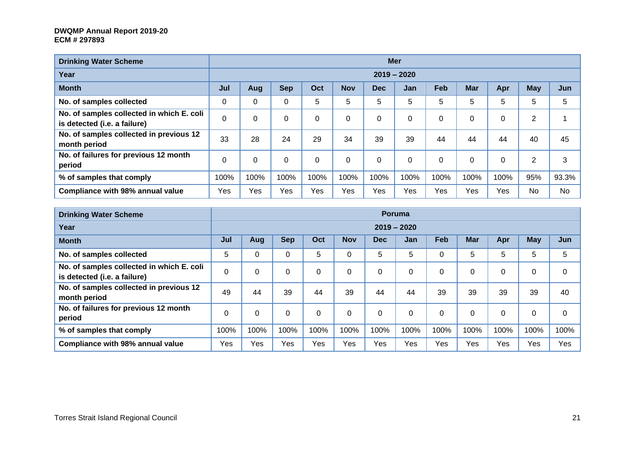| <b>Drinking Water Scheme</b>                                              |             |          |            |          |            |      | <b>Mer</b>    |      |            |      |                |           |
|---------------------------------------------------------------------------|-------------|----------|------------|----------|------------|------|---------------|------|------------|------|----------------|-----------|
| Year                                                                      |             |          |            |          |            |      | $2019 - 2020$ |      |            |      |                |           |
| <b>Month</b>                                                              | Jul         | Aug      | <b>Sep</b> | Oct      | <b>Nov</b> | Dec. | Jan           | Feb  | <b>Mar</b> | Apr  | <b>May</b>     | Jun       |
| No. of samples collected                                                  | $\mathbf 0$ | 0        | 0          | 5        | 5          | 5    | 5             | 5    | 5          | 5    | 5              | 5         |
| No. of samples collected in which E. coli<br>is detected (i.e. a failure) | $\mathbf 0$ | $\Omega$ | 0          | $\Omega$ | 0          | 0    | 0             | 0    | $\Omega$   | 0    | 2              |           |
| No. of samples collected in previous 12<br>month period                   | 33          | 28       | 24         | 29       | 34         | 39   | 39            | 44   | 44         | 44   | 40             | 45        |
| No. of failures for previous 12 month<br>period                           | $\mathbf 0$ | $\Omega$ | 0          | $\Omega$ | 0          | 0    | 0             | 0    | $\Omega$   | 0    | $\overline{2}$ | 3         |
| % of samples that comply                                                  | 100%        | 100%     | 100%       | 100%     | 100%       | 100% | 100%          | 100% | 100%       | 100% | 95%            | 93.3%     |
| Compliance with 98% annual value                                          | Yes         | Yes      | Yes        | Yes      | Yes        | Yes  | Yes           | Yes  | Yes        | Yes  | <b>No</b>      | <b>No</b> |

| <b>Drinking Water Scheme</b>                                              |      | <b>Poruma</b> |            |          |            |            |          |      |            |          |            |          |  |
|---------------------------------------------------------------------------|------|---------------|------------|----------|------------|------------|----------|------|------------|----------|------------|----------|--|
| Year                                                                      |      | $2019 - 2020$ |            |          |            |            |          |      |            |          |            |          |  |
| <b>Month</b>                                                              | Jul  | Aug           | <b>Sep</b> | Oct      | <b>Nov</b> | <b>Dec</b> | Jan      | Feb  | <b>Mar</b> | Apr      | <b>May</b> | Jun      |  |
| No. of samples collected                                                  | 5    | 0             | 0          | 5        | $\Omega$   | 5          | 5        |      | 5          | 5        | 5          | 5        |  |
| No. of samples collected in which E. coli<br>is detected (i.e. a failure) | 0    | 0             | 0          | 0        | $\Omega$   | 0          | 0        |      | 0          | 0        | 0          | 0        |  |
| No. of samples collected in previous 12<br>month period                   | 49   | 44            | 39         | 44       | 39         | 44         | 44       | 39   | 39         | 39       | 39         | 40       |  |
| No. of failures for previous 12 month<br>period                           | 0    | $\Omega$      | 0          | $\Omega$ | $\Omega$   | $\Omega$   | $\Omega$ |      | $\Omega$   | $\Omega$ | 0          | $\Omega$ |  |
| % of samples that comply                                                  | 100% | 100%          | 100%       | 100%     | 100%       | 100%       | 100%     | 100% | 100%       | 100%     | 100%       | 100%     |  |
| <b>Compliance with 98% annual value</b>                                   | Yes  | Yes           | Yes        | Yes      | Yes        | Yes        | Yes      | Yes  | Yes        | Yes      | Yes        | Yes      |  |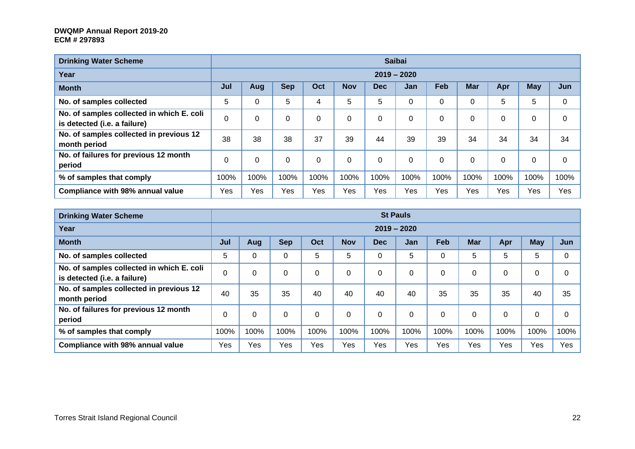| <b>Drinking Water Scheme</b>                                              |      |               |            |          |            |            | <b>Saibai</b> |            |            |      |            |          |  |
|---------------------------------------------------------------------------|------|---------------|------------|----------|------------|------------|---------------|------------|------------|------|------------|----------|--|
| Year                                                                      |      | $2019 - 2020$ |            |          |            |            |               |            |            |      |            |          |  |
| <b>Month</b>                                                              | Jul  | Aug           | <b>Sep</b> | Oct      | <b>Nov</b> | <b>Dec</b> | <b>Jan</b>    | <b>Feb</b> | <b>Mar</b> | Apr  | <b>May</b> | Jun      |  |
| No. of samples collected                                                  | 5    |               | 5          | 4        | 5          | 5          | 0             | 0          | 0          | 5    | 5          | 0        |  |
| No. of samples collected in which E. coli<br>is detected (i.e. a failure) | 0    | 0             | $\Omega$   | $\Omega$ | 0          | 0          | $\Omega$      | 0          | $\Omega$   | 0    | 0          | $\Omega$ |  |
| No. of samples collected in previous 12<br>month period                   | 38   | 38            | 38         | 37       | 39         | 44         | 39            | 39         | 34         | 34   | 34         | 34       |  |
| No. of failures for previous 12 month<br>period                           | 0    | $\mathbf 0$   | $\Omega$   | $\Omega$ | 0          | 0          | $\Omega$      | 0          | $\Omega$   | 0    | 0          | $\Omega$ |  |
| % of samples that comply                                                  | 100% | 100%          | 100%       | 100%     | 100%       | 100%       | 100%          | 100%       | 100%       | 100% | 100%       | 100%     |  |
| Compliance with 98% annual value                                          | Yes  | Yes           | Yes        | Yes      | Yes        | Yes        | Yes           | Yes        | Yes        | Yes  | Yes        | Yes      |  |

| <b>Drinking Water Scheme</b>                                              |          | <b>St Pauls</b> |            |          |            |            |          |          |            |      |             |          |  |  |
|---------------------------------------------------------------------------|----------|-----------------|------------|----------|------------|------------|----------|----------|------------|------|-------------|----------|--|--|
| Year                                                                      |          | $2019 - 2020$   |            |          |            |            |          |          |            |      |             |          |  |  |
| <b>Month</b>                                                              | Jul      | Aug             | <b>Sep</b> | Oct      | <b>Nov</b> | <b>Dec</b> | Jan      | Feb      | <b>Mar</b> | Apr  | <b>May</b>  | Jun      |  |  |
| No. of samples collected                                                  | 5        | 0               | $\Omega$   | 5        | 5          | 0          | 5        | 0        | 5          | 5    | 5           | $\Omega$ |  |  |
| No. of samples collected in which E. coli<br>is detected (i.e. a failure) | 0        | 0               | $\Omega$   | $\Omega$ | 0          | 0          | 0        | 0        | 0          | 0    | $\mathbf 0$ | 0        |  |  |
| No. of samples collected in previous 12<br>month period                   | 40       | 35              | 35         | 40       | 40         | 40         | 40       | 35       | 35         | 35   | 40          | 35       |  |  |
| No. of failures for previous 12 month<br>period                           | $\Omega$ | $\Omega$        | $\Omega$   | $\Omega$ | $\Omega$   | $\Omega$   | $\Omega$ | $\Omega$ | $\Omega$   | 0    | $\Omega$    | $\Omega$ |  |  |
| % of samples that comply                                                  | 100%     | 100%            | 100%       | 100%     | 100%       | 100%       | 100%     | 100%     | 100%       | 100% | 100%        | 100%     |  |  |
| <b>Compliance with 98% annual value</b>                                   | Yes      | Yes             | Yes        | Yes      | Yes        | Yes        | Yes      | Yes      | Yes        | Yes  | Yes         | Yes      |  |  |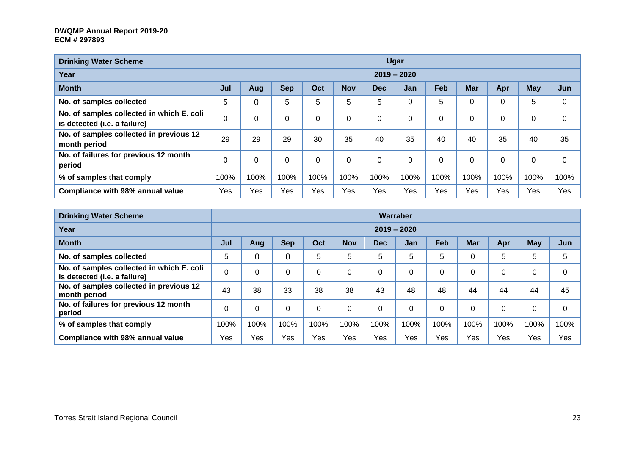| <b>Drinking Water Scheme</b>                                              |      |               |            |             |            |            | Ugar       |             |             |      |            |      |  |
|---------------------------------------------------------------------------|------|---------------|------------|-------------|------------|------------|------------|-------------|-------------|------|------------|------|--|
| Year                                                                      |      | $2019 - 2020$ |            |             |            |            |            |             |             |      |            |      |  |
| <b>Month</b>                                                              | Jul  | Aug           | <b>Sep</b> | Oct         | <b>Nov</b> | <b>Dec</b> | <b>Jan</b> | Feb         | <b>Mar</b>  | Apr  | <b>May</b> | Jun  |  |
| No. of samples collected                                                  | 5    | 0             | 5          | 5           | 5          | 5          | 0          | 5           | $\mathbf 0$ | 0    | 5          | 0    |  |
| No. of samples collected in which E. coli<br>is detected (i.e. a failure) | 0    | $\Omega$      | 0          | $\Omega$    | 0          | 0          | $\Omega$   | $\mathbf 0$ | $\Omega$    | 0    | 0          | 0    |  |
| No. of samples collected in previous 12<br>month period                   | 29   | 29            | 29         | 30          | 35         | 40         | 35         | 40          | 40          | 35   | 40         | 35   |  |
| No. of failures for previous 12 month<br>period                           | 0    | 0             | 0          | $\mathbf 0$ |            | 0          | 0          | $\mathbf 0$ | $\Omega$    | 0    | 0          | 0    |  |
| % of samples that comply                                                  | 100% | 100%          | 100%       | 100%        | 100%       | 100%       | 100%       | 100%        | 100%        | 100% | 100%       | 100% |  |
| Compliance with 98% annual value                                          | Yes  | Yes           | Yes        | Yes         | Yes        | Yes        | Yes        | Yes         | Yes         | Yes  | Yes        | Yes  |  |

| <b>Drinking Water Scheme</b>                                              |          | Warraber      |            |          |            |            |              |      |            |              |            |          |  |
|---------------------------------------------------------------------------|----------|---------------|------------|----------|------------|------------|--------------|------|------------|--------------|------------|----------|--|
| Year                                                                      |          | $2019 - 2020$ |            |          |            |            |              |      |            |              |            |          |  |
| <b>Month</b>                                                              | Jul      | Aug           | <b>Sep</b> | Oct      | <b>Nov</b> | <b>Dec</b> | Jan          | Feb  | <b>Mar</b> | Apr          | <b>May</b> | Jun      |  |
| No. of samples collected                                                  | 5        | 0             |            | 5        | 5          | 5          | 5            | 5    | $\Omega$   | 5            | 5          | 5        |  |
| No. of samples collected in which E. coli<br>is detected (i.e. a failure) | $\Omega$ | 0             | 0          | 0        |            | 0          | 0            | 0    | $\Omega$   | $\mathbf{0}$ | 0          | $\Omega$ |  |
| No. of samples collected in previous 12<br>month period                   | 43       | 38            | 33         | 38       | 38         | 43         | 48           | 48   | 44         | 44           | 44         | 45       |  |
| No. of failures for previous 12 month<br>period                           | $\Omega$ | $\Omega$      | 0          | $\Omega$ | $\Omega$   | $\Omega$   | $\mathbf{0}$ |      | $\Omega$   | $\mathbf{0}$ | 0          | $\Omega$ |  |
| % of samples that comply                                                  | 100%     | 100%          | 100%       | 100%     | 100%       | 100%       | 100%         | 100% | 100%       | 100%         | 100%       | 100%     |  |
| Compliance with 98% annual value                                          | Yes      | Yes           | Yes        | Yes      | Yes        | Yes        | Yes          | Yes  | Yes        | Yes          | Yes        | Yes      |  |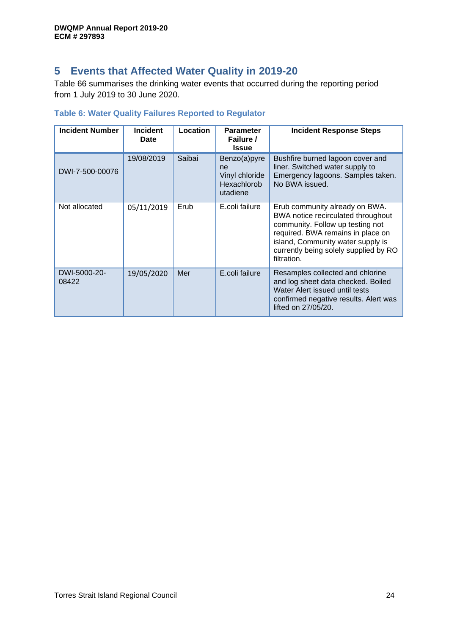# <span id="page-23-0"></span>**5 Events that Affected Water Quality in 2019-20**

[Table 66](#page-23-2) summarises the drinking water events that occurred during the reporting period from 1 July 2019 to 30 June 2020.

## <span id="page-23-2"></span><span id="page-23-1"></span>**Table 6: Water Quality Failures Reported to Regulator**

| <b>Incident Number</b> | <b>Incident</b><br><b>Date</b> | Location | <b>Parameter</b><br>Failure /<br><b>Issue</b>                          | <b>Incident Response Steps</b>                                                                                                                                                                                                             |
|------------------------|--------------------------------|----------|------------------------------------------------------------------------|--------------------------------------------------------------------------------------------------------------------------------------------------------------------------------------------------------------------------------------------|
| DWI-7-500-00076        | 19/08/2019                     | Saibai   | Benzo(a)pyre<br>ne<br>Vinyl chloride<br><b>Hexachlorob</b><br>utadiene | Bushfire burned lagoon cover and<br>liner. Switched water supply to<br>Emergency lagoons. Samples taken.<br>No BWA issued.                                                                                                                 |
| Not allocated          | 05/11/2019                     | Erub     | E.coli failure                                                         | Erub community already on BWA.<br>BWA notice recirculated throughout<br>community. Follow up testing not<br>required. BWA remains in place on<br>island, Community water supply is<br>currently being solely supplied by RO<br>filtration. |
| DWI-5000-20-<br>08422  | 19/05/2020                     | Mer      | E.coli failure                                                         | Resamples collected and chlorine<br>and log sheet data checked. Boiled<br>Water Alert issued until tests<br>confirmed negative results. Alert was<br>lifted on 27/05/20.                                                                   |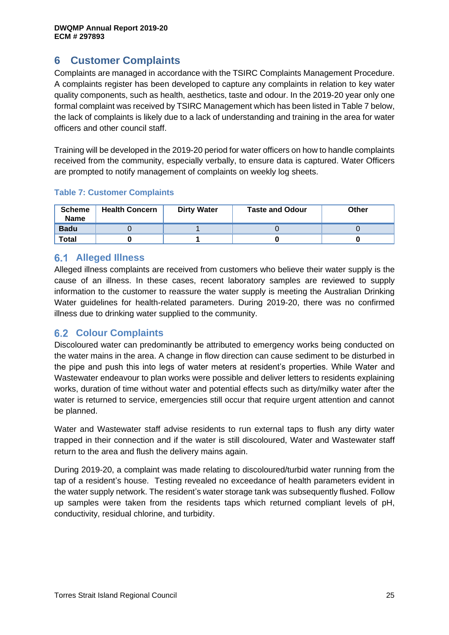# <span id="page-24-0"></span>**6 Customer Complaints**

Complaints are managed in accordance with the TSIRC Complaints Management Procedure. A complaints register has been developed to capture any complaints in relation to key water quality components, such as health, aesthetics, taste and odour. In the 2019-20 year only one formal complaint was received by TSIRC Management which has been listed in Table 7 below, the lack of complaints is likely due to a lack of understanding and training in the area for water officers and other council staff.

Training will be developed in the 2019-20 period for water officers on how to handle complaints received from the community, especially verbally, to ensure data is captured. Water Officers are prompted to notify management of complaints on weekly log sheets.

<span id="page-24-3"></span>

|  |  | <b>Table 7: Customer Complaints</b> |  |  |
|--|--|-------------------------------------|--|--|
|--|--|-------------------------------------|--|--|

| <b>Scheme</b><br><b>Name</b> | <b>Health Concern</b> | <b>Dirty Water</b> | <b>Taste and Odour</b> | Other |
|------------------------------|-----------------------|--------------------|------------------------|-------|
| <b>Badu</b>                  |                       |                    |                        |       |
| <b>Total</b>                 |                       |                    |                        |       |

## <span id="page-24-1"></span>**Alleged Illness**

Alleged illness complaints are received from customers who believe their water supply is the cause of an illness. In these cases, recent laboratory samples are reviewed to supply information to the customer to reassure the water supply is meeting the Australian Drinking Water guidelines for health-related parameters. During 2019-20, there was no confirmed illness due to drinking water supplied to the community.

## <span id="page-24-2"></span>**Colour Complaints**

Discoloured water can predominantly be attributed to emergency works being conducted on the water mains in the area. A change in flow direction can cause sediment to be disturbed in the pipe and push this into legs of water meters at resident's properties. While Water and Wastewater endeavour to plan works were possible and deliver letters to residents explaining works, duration of time without water and potential effects such as dirty/milky water after the water is returned to service, emergencies still occur that require urgent attention and cannot be planned.

Water and Wastewater staff advise residents to run external taps to flush any dirty water trapped in their connection and if the water is still discoloured, Water and Wastewater staff return to the area and flush the delivery mains again.

During 2019-20, a complaint was made relating to discoloured/turbid water running from the tap of a resident's house. Testing revealed no exceedance of health parameters evident in the water supply network. The resident's water storage tank was subsequently flushed. Follow up samples were taken from the residents taps which returned compliant levels of pH, conductivity, residual chlorine, and turbidity.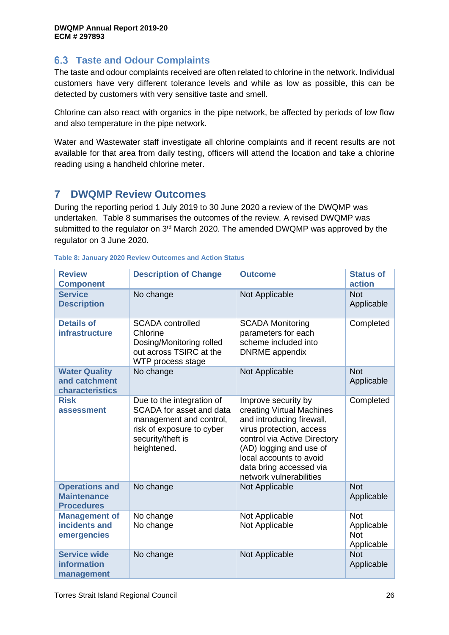## <span id="page-25-0"></span>**Taste and Odour Complaints**

The taste and odour complaints received are often related to chlorine in the network. Individual customers have very different tolerance levels and while as low as possible, this can be detected by customers with very sensitive taste and smell.

Chlorine can also react with organics in the pipe network, be affected by periods of low flow and also temperature in the pipe network.

Water and Wastewater staff investigate all chlorine complaints and if recent results are not available for that area from daily testing, officers will attend the location and take a chlorine reading using a handheld chlorine meter.

# <span id="page-25-1"></span>**7 DWQMP Review Outcomes**

During the reporting period 1 July 2019 to 30 June 2020 a review of the DWQMP was undertaken. Table 8 summarises the outcomes of the review. A revised DWQMP was submitted to the regulator on  $3<sup>rd</sup>$  March 2020. The amended DWQMP was approved by the regulator on 3 June 2020.

| <b>Review</b><br><b>Component</b>                                | <b>Description of Change</b>                                                                                                                      | <b>Outcome</b>                                                                                                                                                                                                                                        | <b>Status of</b><br>action                           |
|------------------------------------------------------------------|---------------------------------------------------------------------------------------------------------------------------------------------------|-------------------------------------------------------------------------------------------------------------------------------------------------------------------------------------------------------------------------------------------------------|------------------------------------------------------|
| <b>Service</b><br><b>Description</b>                             | No change                                                                                                                                         | Not Applicable                                                                                                                                                                                                                                        | <b>Not</b><br>Applicable                             |
| <b>Details of</b><br><b>infrastructure</b>                       | <b>SCADA</b> controlled<br>Chlorine<br>Dosing/Monitoring rolled<br>out across TSIRC at the<br>WTP process stage                                   | <b>SCADA Monitoring</b><br>parameters for each<br>scheme included into<br><b>DNRME</b> appendix                                                                                                                                                       | Completed                                            |
| <b>Water Quality</b><br>and catchment<br>characteristics         | No change                                                                                                                                         | Not Applicable                                                                                                                                                                                                                                        | <b>Not</b><br>Applicable                             |
| <b>Risk</b><br>assessment                                        | Due to the integration of<br>SCADA for asset and data<br>management and control,<br>risk of exposure to cyber<br>security/theft is<br>heightened. | Improve security by<br>creating Virtual Machines<br>and introducing firewall,<br>virus protection, access<br>control via Active Directory<br>(AD) logging and use of<br>local accounts to avoid<br>data bring accessed via<br>network vulnerabilities | Completed                                            |
| <b>Operations and</b><br><b>Maintenance</b><br><b>Procedures</b> | No change                                                                                                                                         | Not Applicable                                                                                                                                                                                                                                        | <b>Not</b><br>Applicable                             |
| <b>Management of</b><br>incidents and<br>emergencies             | No change<br>No change                                                                                                                            | Not Applicable<br>Not Applicable                                                                                                                                                                                                                      | <b>Not</b><br>Applicable<br><b>Not</b><br>Applicable |
| <b>Service wide</b><br>information<br>management                 | No change                                                                                                                                         | Not Applicable                                                                                                                                                                                                                                        | <b>Not</b><br>Applicable                             |

## <span id="page-25-2"></span>**Table 8: January 2020 Review Outcomes and Action Status**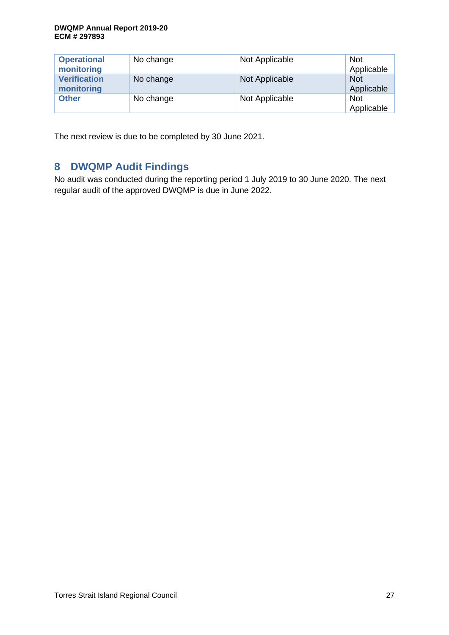| <b>Operational</b><br>monitoring  | No change | Not Applicable | <b>Not</b><br>Applicable |
|-----------------------------------|-----------|----------------|--------------------------|
| <b>Verification</b><br>monitoring | No change | Not Applicable | <b>Not</b><br>Applicable |
| <b>Other</b>                      | No change | Not Applicable | <b>Not</b><br>Applicable |

The next review is due to be completed by 30 June 2021.

# <span id="page-26-0"></span>**8 DWQMP Audit Findings**

No audit was conducted during the reporting period 1 July 2019 to 30 June 2020. The next regular audit of the approved DWQMP is due in June 2022.